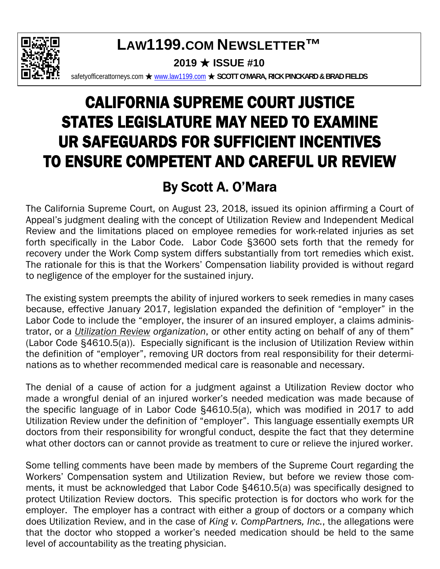

### **LAW1199.COM NEWSLETTER™ 2019** ★ **ISSUE #10**

safetyofficerattorneys.com ★ www.law1199.com ★ SCOTT O'MARA, RICK PINCKARD & BRAD FIELDS

# CALIFORNIA SUPREME COURT JUSTICE STATES LEGISLATURE MAY NEED TO EXAMINE UR SAFEGUARDS FOR SUFFICIENT INCENTIVES TO ENSURE COMPETENT AND CAREFUL UR REVIEW

## By Scott A. O'Mara

The California Supreme Court, on August 23, 2018, issued its opinion affirming a Court of Appeal's judgment dealing with the concept of Utilization Review and Independent Medical Review and the limitations placed on employee remedies for work-related injuries as set forth specifically in the Labor Code. Labor Code §3600 sets forth that the remedy for recovery under the Work Comp system differs substantially from tort remedies which exist. The rationale for this is that the Workers' Compensation liability provided is without regard to negligence of the employer for the sustained injury.

The existing system preempts the ability of injured workers to seek remedies in many cases because, effective January 2017, legislation expanded the definition of "employer" in the Labor Code to include the "employer, the insurer of an insured employer, a claims administrator, or a *Utilization Review organization*, or other entity acting on behalf of any of them" (Labor Code §4610.5(a)). Especially significant is the inclusion of Utilization Review within the definition of "employer", removing UR doctors from real responsibility for their determinations as to whether recommended medical care is reasonable and necessary.

The denial of a cause of action for a judgment against a Utilization Review doctor who made a wrongful denial of an injured worker's needed medication was made because of the specific language of in Labor Code §4610.5(a), which was modified in 2017 to add Utilization Review under the definition of "employer". This language essentially exempts UR doctors from their responsibility for wrongful conduct, despite the fact that they determine what other doctors can or cannot provide as treatment to cure or relieve the injured worker.

Some telling comments have been made by members of the Supreme Court regarding the Workers' Compensation system and Utilization Review, but before we review those comments, it must be acknowledged that Labor Code §4610.5(a) was specifically designed to protect Utilization Review doctors. This specific protection is for doctors who work for the employer. The employer has a contract with either a group of doctors or a company which does Utilization Review, and in the case of *King v. CompPartners, Inc.*, the allegations were that the doctor who stopped a worker's needed medication should be held to the same level of accountability as the treating physician.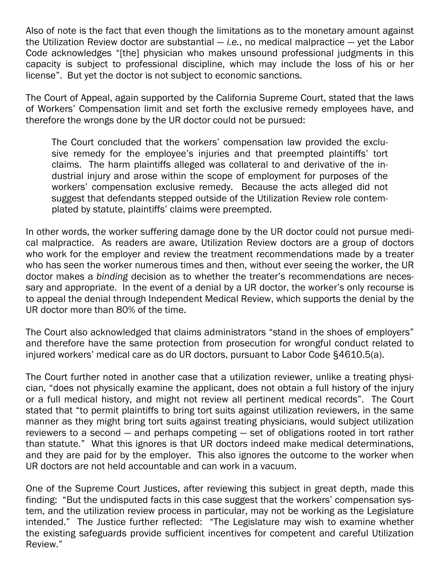Also of note is the fact that even though the limitations as to the monetary amount against the Utilization Review doctor are substantial — *i.e.*, no medical malpractice — yet the Labor Code acknowledges "[the] physician who makes unsound professional judgments in this capacity is subject to professional discipline, which may include the loss of his or her license". But yet the doctor is not subject to economic sanctions.

The Court of Appeal, again supported by the California Supreme Court, stated that the laws of Workers' Compensation limit and set forth the exclusive remedy employees have, and therefore the wrongs done by the UR doctor could not be pursued:

The Court concluded that the workers' compensation law provided the exclusive remedy for the employee's injuries and that preempted plaintiffs' tort claims. The harm plaintiffs alleged was collateral to and derivative of the industrial injury and arose within the scope of employment for purposes of the workers' compensation exclusive remedy. Because the acts alleged did not suggest that defendants stepped outside of the Utilization Review role contemplated by statute, plaintiffs' claims were preempted.

In other words, the worker suffering damage done by the UR doctor could not pursue medical malpractice. As readers are aware, Utilization Review doctors are a group of doctors who work for the employer and review the treatment recommendations made by a treater who has seen the worker numerous times and then, without ever seeing the worker, the UR doctor makes a *binding* decision as to whether the treater's recommendations are necessary and appropriate. In the event of a denial by a UR doctor, the worker's only recourse is to appeal the denial through Independent Medical Review, which supports the denial by the UR doctor more than 80% of the time.

The Court also acknowledged that claims administrators "stand in the shoes of employers" and therefore have the same protection from prosecution for wrongful conduct related to injured workers' medical care as do UR doctors, pursuant to Labor Code §4610.5(a).

The Court further noted in another case that a utilization reviewer, unlike a treating physician, "does not physically examine the applicant, does not obtain a full history of the injury or a full medical history, and might not review all pertinent medical records". The Court stated that "to permit plaintiffs to bring tort suits against utilization reviewers, in the same manner as they might bring tort suits against treating physicians, would subject utilization reviewers to a second — and perhaps competing — set of obligations rooted in tort rather than statute." What this ignores is that UR doctors indeed make medical determinations, and they are paid for by the employer. This also ignores the outcome to the worker when UR doctors are not held accountable and can work in a vacuum.

One of the Supreme Court Justices, after reviewing this subject in great depth, made this finding: "But the undisputed facts in this case suggest that the workers' compensation system, and the utilization review process in particular, may not be working as the Legislature intended." The Justice further reflected: "The Legislature may wish to examine whether the existing safeguards provide sufficient incentives for competent and careful Utilization Review."